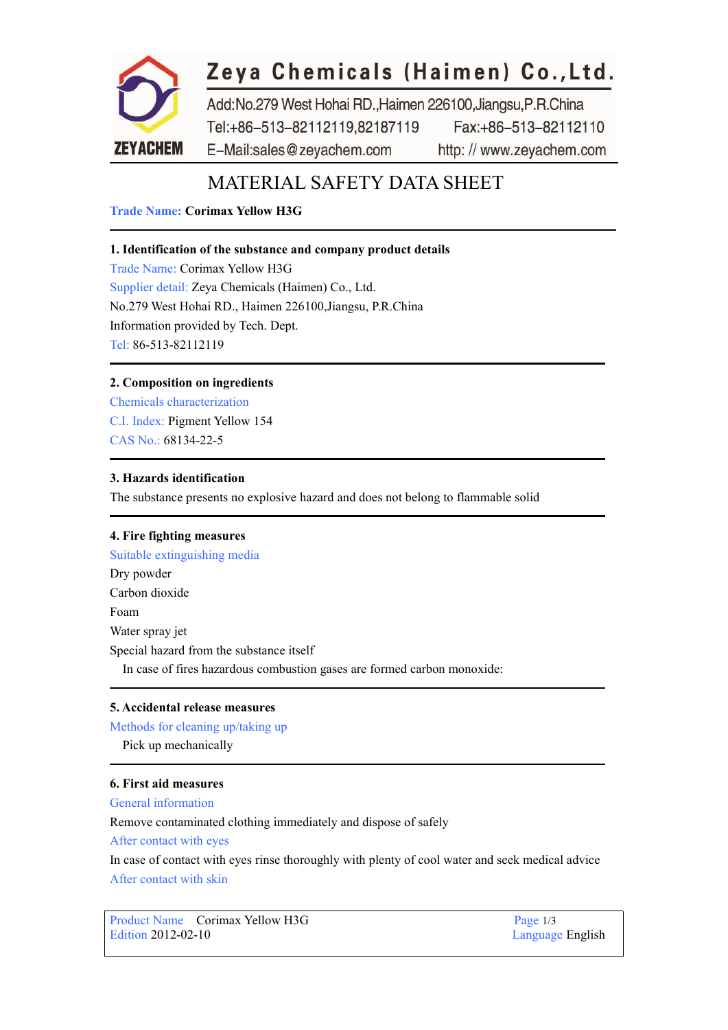

# Zeya Chemicals (Haimen) Co., Ltd.

Add:No.279 West Hohai RD., Haimen 226100, Jiangsu, P.R.China Tel:+86-513-82112119,82187119 Fax:+86-513-82112110 E-Mail:sales@zeyachem.com http://www.zevachem.com

# MATERIAL SAFETY DATA SHEET

**Trade Name: Corimax Yellow H3G**

# **1. Identification of the substance and company product details**

Trade Name: Corimax Yellow H3G Supplier detail: Zeya Chemicals (Haimen) Co., Ltd. No.279 West Hohai RD., Haimen 226100,Jiangsu, P.R.China Information provided by Tech. Dept. Tel: 86-513-82112119

# **2. Composition on ingredients**

Chemicals characterization C.I. Index: [Pigment](https://www.zeyachem.net/pigment-yellow-154.html) Yellow 154 CAS No.: 68134-22-5

# **3. Hazards identification**

The substance presents no explosive hazard and doesnot belong to flammable solid

#### **4. Fire fighting measures**

Suitable extinguishing media Dry powder Carbon dioxide Foam and the state of the state of the state of the state of the state of the state of the state of the state of the state of the state of the state of the state of the state of the state of the state of the state of the s Water spray jet Special hazard from the substance itself In case of fires hazardous combustion gases are formed carbon monoxide:

# **5. Accidental release measures**

Methods for cleaning up/taking up

Pick up mechanically

# **6. First aid measures**

General information

Remove contaminated clothing immediately and dispose of safely

After contact with eyes

In case of contact with eyes rinse thoroughly with plenty of cool water and seek medical advice After contact with skin

Product Name Corimax Yellow H3G Page 1/3<br>Edition 2012-02-10 Language

Language English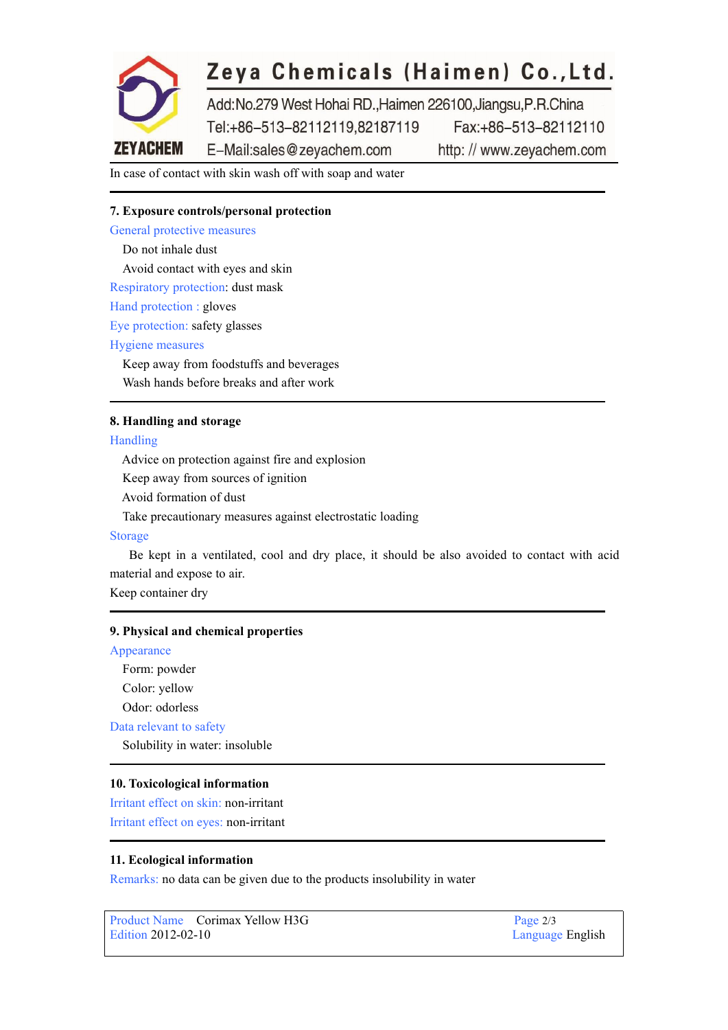

# Zeya Chemicals (Haimen) Co., Ltd.

Add:No.279 West Hohai RD.,Haimen 226100,Jiangsu,P.R.China Tel:+86-513-82112119,82187119 Fax:+86-513-82112110

E-Mail:sales@zeyachem.com

http://www.zevachem.com

In case of contact with skin wash off with soap and water

# **7. Exposure controls/personal protection**

General protective measures Do not inhale dust Avoid contact with eyes and skin Respiratory protection: dust mask Hand protection : gloves Eye protection: safety glasses Hygiene measures

Keep away from foodstuffs and beverages Wash hands before breaks and after work

### **8. Handling and storage**

#### Handling

Advice on protection against fire and explosion

Keep away from sources of ignition

Avoid formation of dust

Take precautionary measures against electrostatic loading

#### Storage

Be kept in a ventilated, cool and dry place, it should be also avoided to contact with acid material and expose to air.

Keep container dry

#### **9. Physical and chemical properties**

# Appearance

Form: powder Color: yellow

Odor: odorless

Data relevant to safety

Solubility in water: insoluble

# **10. Toxicological information**

Irritant effect on skin: non-irritant Irritant effect on eyes: non-irritant

#### **11. Ecological information**

Remarks: no data can be given due to the products insolubility in water

Product Name Corimax Yellow H3G Page 2/3<br>Edition 2012-02-10 Language

Language English